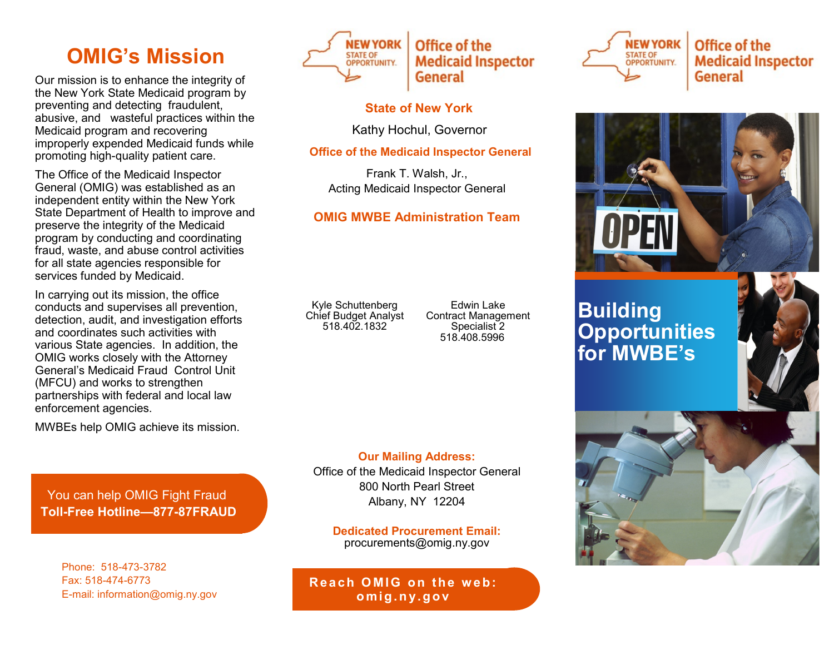# **OMIG's Mission**

Our mission is to enhance the integrity of the New York State Medicaid program by preventing and detecting fraudulent, abusive, and wasteful practices within the Medicaid program and recovering improperly expended Medicaid funds while promoting high-quality patient care.

The Office of the Medicaid Inspector General (OMIG) was established as an independent entity within the New York State Department of Health to improve and preserve the integrity of the Medicaid program by conducting and coordinating fraud, waste, and abuse control activities for all state agencies responsible for services funded by Medicaid.

In carrying out its mission, the office conducts and supervises all prevention, detection, audit, and investigation efforts and coordinates such activities with various State agencies. In addition, the OMIG works closely with the Attorney General's Medicaid Fraud Control Unit (MFCU) and works to strengthen partnerships with federal and local law enforcement agencies.

MWBEs help OMIG achieve its mission.

You can help OMIG Fight Fraud **Toll-Free Hotline—877-87FRAUD**

> Phone: 518-473-3782 Fax: 518-474-6773 E-mail: information@omig.ny.gov



## **State of New York**

Kathy Hochul, Governor

**Office of the Medicaid Inspector General**

Frank T. Walsh, Jr., Acting Medicaid Inspector General

## **OMIG MWBE Administration Team**

Kyle Schuttenberg Chief Budget Analyst 518.402.1832

Edwin Lake Contract Management Specialist<sub>2</sub> 518.408.5996

**Our Mailing Address:** Office of the Medicaid Inspector General 800 North Pearl Street Albany, NY 12204

**Dedicated Procurement Email:** procurements@omig.ny.gov

**Reach OMIG on the web: om i g. n y. g o v**



Office of the **Medicaid Inspector General** 



# **Building Opportunities for MWBE's**